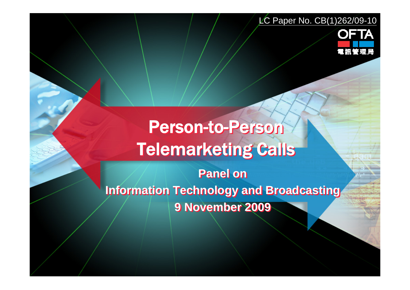#### LC Paper No. CB(1)262/09-10



# Person-to-Person Person-to-Person Telemarketing Calls Telemarketing Calls

**Panel on Panel on Information Technology and Broadcasting Information Technology and Broadcasting 9 November 2009 9 November 2009**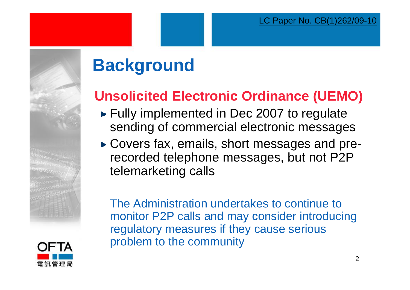# **Background**

## **Unsolicited Electronic Ordinance (UEMO)**

- ► Fully implemented in Dec 2007 to regulate sending of commercial electronic messages
- ► Covers fax, emails, short messages and prerecorded telephone messages, but not P2P telemarketing calls

The Administration undertakes to continue to monitor P2P calls and may consider introducing regulatory measures if they cause serious problem to the community

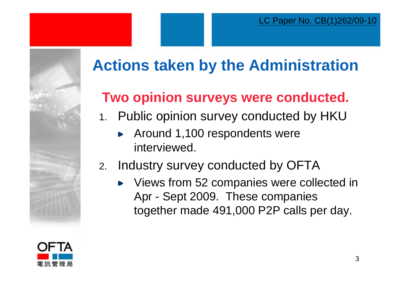

## **Two opinion surveys were conducted.**

- 1. Public opinion survey conducted by HKU
	- Around 1,100 respondents were  $\blacktriangleright$ interviewed.
- 2. Industry survey conducted by OFTA
	- Views from 52 companies were collected in Þ Apr - Sept 2009. These companies together made 491,000 P2P calls per day.

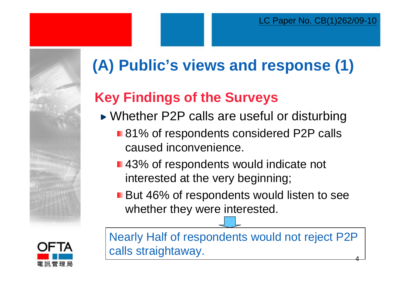



# **(A) Public's views and response (1)**

## **Key Findings of the Surveys**

- ► Whether P2P calls are useful or disturbing
	- 81% of respondents considered P2P calls caused inconvenience.
	- 43% of respondents would indicate not interested at the very beginning;
	- **But 46% of respondents would listen to see** whether they were interested.

4Nearly Half of respondents would not reject P2P calls straightaway.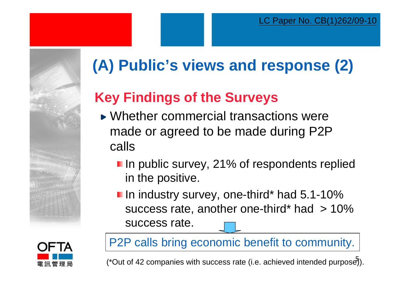



# **(A) Public's views and response (2)**

## **Key Findings of the Surveys**

- Whether commercial transactions were made or agreed to be made during P2P calls
	- **I** In public survey, 21% of respondents replied in the positive.
	- **I** In industry survey, one-third\* had 5.1-10% success rate, another one-third\* had  $> 10\%$ success rate.

P2P calls bring economic benefit to community.

(\*Out of 42 companies with success rate (i.e. achieved intended purpose)).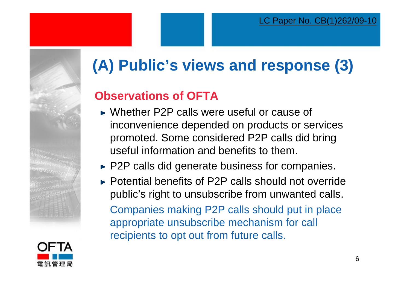# **(A) Public's views and response (3)**

### **Observations of OFTA**

- ► Whether P2P calls were useful or cause of inconvenience depended on products or services promoted. Some considered P2P calls did bring useful information and benefits to them.
- $\blacktriangleright$  P2P calls did generate business for companies.
- ► Potential benefits of P2P calls should not override public's right to unsubscribe from unwanted calls. Companies making P2P calls should put in place appropriate unsubscribe mechanism for call recipients to opt out from future calls.

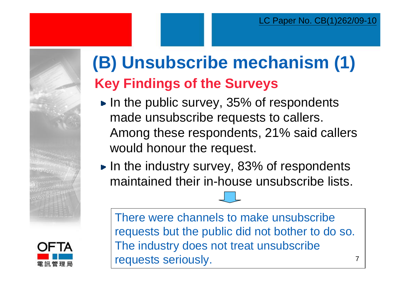# **(B) Unsubscribe mechanism (1) Key Findings of the Surveys**

- $\blacktriangleright$  In the public survey, 35% of respondents made unsubscribe requests to callers. Among these respondents, 21% said callers would honour the request.
- $\blacktriangleright$  In the industry survey, 83% of respondents maintained their in-house unsubscribe lists.

There were channels to make unsubscribe requests but the public did not bother to do so. The industry does not treat unsubscribe requests seriously.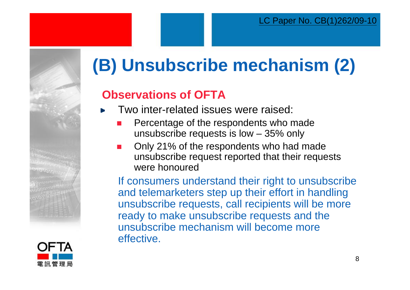# **(B) Unsubscribe mechanism (2)**

### **Observations of OFTA**

- Two inter-related issues were raised:
	- $\mathcal{L}_{\rm{max}}$  Percentage of the respondents who made unsubscribe requests is low – 35% only
	- $\mathcal{L}_{\rm{max}}$  Only 21% of the respondents who had made unsubscribe request reported that their requests were honoured

If consumers understand their right to unsubscribe and telemarketers step up their effort in handling unsubscribe requests, call recipients will be more ready to make unsubscribe requests and the unsubscribe mechanism will become more effective.

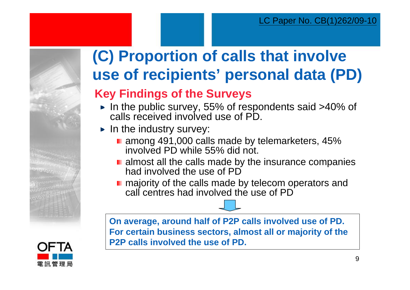# **(C) Proportion of calls that involve use of recipients' personal data (PD)**

### **Key Findings of the Surveys**

- In the public survey, 55% of respondents said >40% of calls received involved use of PD.
- $\blacktriangleright$  In the industry survey:
	- among 491,000 calls made by telemarketers, 45% involved PD while 55% did not.
	- **E** almost all the calls made by the insurance companies had involved the use of PD
	- majority of the calls made by telecom operators and call centres had involved the use of PD

**On average, around half of P2P calls involved use of PD. For certain business sectors, almost all or majority of the P2P calls involved the use of PD.**

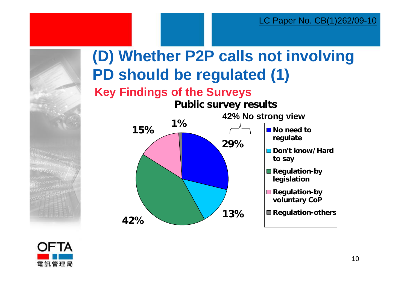

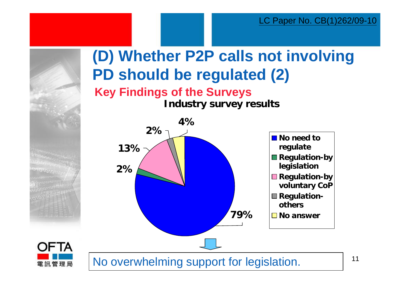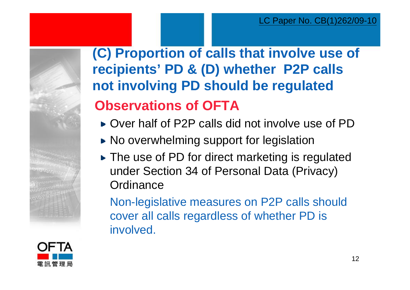

## **(C) Proportion of calls that involve use of recipients' PD & (D) whether P2P calls not involving PD should be regulated Observations of OFTA**

- ► Over half of P2P calls did not involve use of PD
- ► No overwhelming support for legislation
- ► The use of PD for direct marketing is regulated under Section 34 of Personal Data (Privacy) **Ordinance**

Non-legislative measures on P2P calls should cover all calls regardless of whether PD is involved.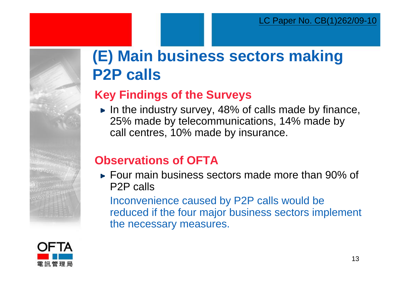## **(E) Main business sectors making P2P calls**

### **Key Findings of the Surveys**

In the industry survey, 48% of calls made by finance, 25% made by telecommunications, 14% made by call centres, 10% made by insurance.

### **Observations of OFTA**

► Four main business sectors made more than 90% of P2P calls

Inconvenience caused by P2P calls would be reduced if the four major business sectors implement the necessary measures.

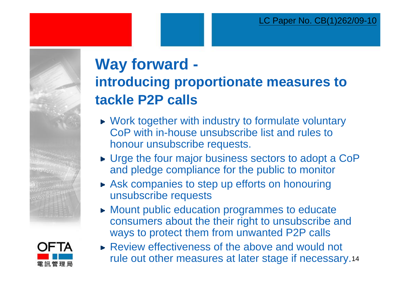



# **Way forward introducing proportionate measures to tackle P2P calls**

- ► Work together with industry to formulate voluntary CoP with in-house unsubscribe list and rules to honour unsubscribe requests.
- ► Urge the four major business sectors to adopt a CoP and pledge compliance for the public to monitor
- Ask companies to step up efforts on honouring unsubscribe requests
- **Mount public education programmes to educate** consumers about the their right to unsubscribe and ways to protect them from unwanted P2P calls
- rule out other measures at later stage if necessary.14 ► Review effectiveness of the above and would not